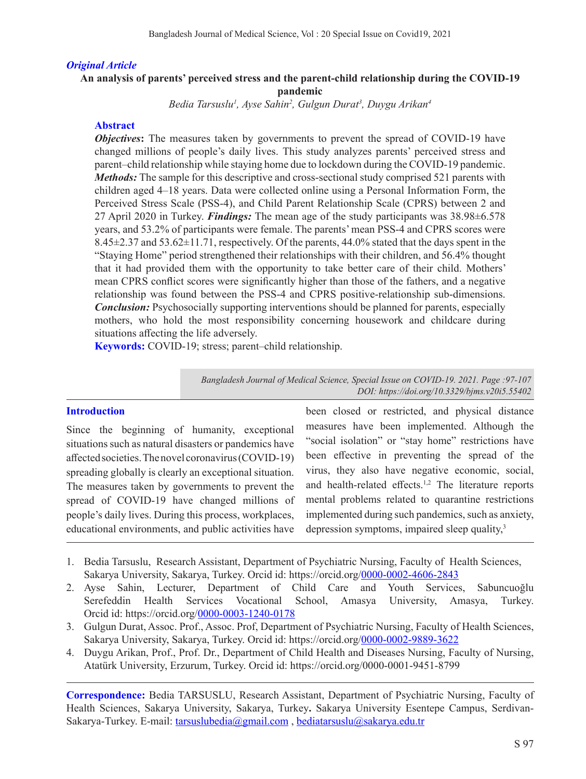### *Original Article*

#### **An analysis of parents' perceived stress and the parent-child relationship during the COVID-19 pandemic**

*Bedia Tarsuslu1 , Ayse Sahin2 , Gulgun Durat3 , Duygu Arikan4*

### **Abstract**

*Objectives*: The measures taken by governments to prevent the spread of COVID-19 have changed millions of people's daily lives. This study analyzes parents' perceived stress and parent–child relationship while staying home due to lockdown during the COVID-19 pandemic. *Methods:* The sample for this descriptive and cross-sectional study comprised 521 parents with children aged 4–18 years. Data were collected online using a Personal Information Form, the Perceived Stress Scale (PSS-4), and Child Parent Relationship Scale (CPRS) between 2 and 27 April 2020 in Turkey. *Findings:* The mean age of the study participants was 38.98±6.578 years, and 53.2% of participants were female. The parents' mean PSS-4 and CPRS scores were 8.45±2.37 and 53.62±11.71, respectively. Of the parents, 44.0% stated that the days spent in the "Staying Home" period strengthened their relationships with their children, and 56.4% thought that it had provided them with the opportunity to take better care of their child. Mothers' mean CPRS conflict scores were significantly higher than those of the fathers, and a negative relationship was found between the PSS-4 and CPRS positive-relationship sub-dimensions. *Conclusion:* Psychosocially supporting interventions should be planned for parents, especially mothers, who hold the most responsibility concerning housework and childcare during situations affecting the life adversely.

**Keywords:** COVID-19; stress; parent–child relationship.

*Bangladesh Journal of Medical Science, Special Issue on COVID-19. 2021. Page :97-107 DOI: https://doi.org/10.3329/bjms.v20i5.55402* 

### **Introduction**

Since the beginning of humanity, exceptional situations such as natural disasters or pandemics have affected societies. The novel coronavirus (COVID-19) spreading globally is clearly an exceptional situation. The measures taken by governments to prevent the spread of COVID-19 have changed millions of people's daily lives. During this process, workplaces, educational environments, and public activities have

been closed or restricted, and physical distance measures have been implemented. Although the "social isolation" or "stay home" restrictions have been effective in preventing the spread of the virus, they also have negative economic, social, and health-related effects.1,2 The literature reports mental problems related to quarantine restrictions implemented during such pandemics, such as anxiety, depression symptoms, impaired sleep quality,<sup>3</sup>

- 1. Bedia Tarsuslu, Research Assistant, Department of Psychiatric Nursing, Faculty of Health Sciences, Sakarya University, Sakarya, Turkey. Orcid id: https://orcid.org/0000-0002-4606-2843
- 2. Ayse Sahin, Lecturer, Department of Child Care and Youth Services, Sabuncuoğlu Serefeddin Health Services Vocational School, Amasya University, Amasya, Turkey. Orcid id: https://orcid.org/0000-0003-1240-0178
- 3. Gulgun Durat, Assoc. Prof., Assoc. Prof, Department of Psychiatric Nursing, Faculty of Health Sciences, Sakarya University, Sakarya, Turkey. Orcid id: https://orcid.org/0000-0002-9889-3622
- 4. Duygu Arikan, Prof., Prof. Dr., Department of Child Health and Diseases Nursing, Faculty of Nursing, Atatürk University, Erzurum, Turkey. Orcid id: https://orcid.org/0000-0001-9451-8799

**Correspondence:** Bedia TARSUSLU, Research Assistant, Department of Psychiatric Nursing, Faculty of Health Sciences, Sakarya University, Sakarya, Turkey**.** Sakarya University Esentepe Campus, Serdivan-Sakarya-Turkey. E-mail: tarsuslubedia@gmail.com, bediatarsuslu@sakarya.edu.tr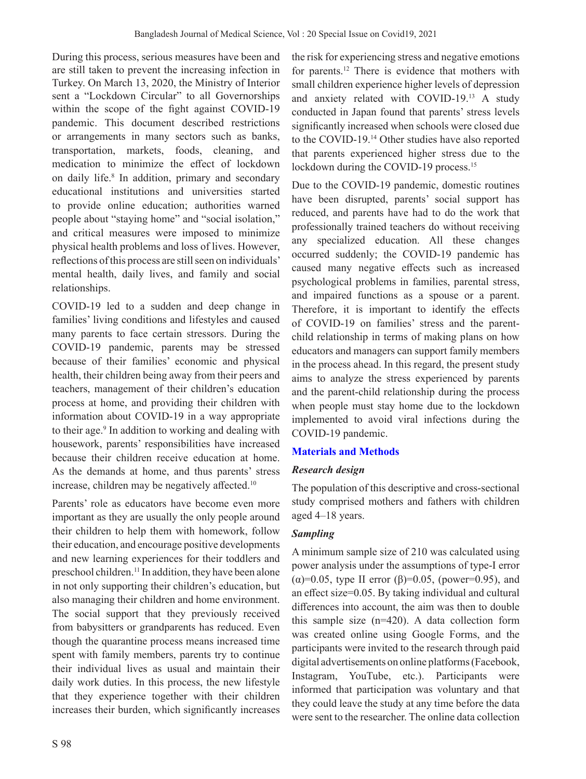During this process, serious measures have been and are still taken to prevent the increasing infection in Turkey. On March 13, 2020, the Ministry of Interior sent a "Lockdown Circular" to all Governorships within the scope of the fight against COVID-19 pandemic. This document described restrictions or arrangements in many sectors such as banks, transportation, markets, foods, cleaning, and medication to minimize the effect of lockdown on daily life.<sup>8</sup> In addition, primary and secondary educational institutions and universities started to provide online education; authorities warned people about "staying home" and "social isolation," and critical measures were imposed to minimize physical health problems and loss of lives. However, reflections of this process are still seen on individuals' mental health, daily lives, and family and social relationships.

COVID-19 led to a sudden and deep change in families' living conditions and lifestyles and caused many parents to face certain stressors. During the COVID-19 pandemic, parents may be stressed because of their families' economic and physical health, their children being away from their peers and teachers, management of their children's education process at home, and providing their children with information about COVID-19 in a way appropriate to their age.<sup>9</sup> In addition to working and dealing with housework, parents' responsibilities have increased because their children receive education at home. As the demands at home, and thus parents' stress increase, children may be negatively affected.<sup>10</sup>

Parents' role as educators have become even more important as they are usually the only people around their children to help them with homework, follow their education, and encourage positive developments and new learning experiences for their toddlers and preschool children.11 In addition, they have been alone in not only supporting their children's education, but also managing their children and home environment. The social support that they previously received from babysitters or grandparents has reduced. Even though the quarantine process means increased time spent with family members, parents try to continue their individual lives as usual and maintain their daily work duties. In this process, the new lifestyle that they experience together with their children increases their burden, which significantly increases

the risk for experiencing stress and negative emotions for parents.12 There is evidence that mothers with small children experience higher levels of depression and anxiety related with COVID-19.13 A study conducted in Japan found that parents' stress levels significantly increased when schools were closed due to the COVID-19.14 Other studies have also reported that parents experienced higher stress due to the lockdown during the COVID-19 process.<sup>15</sup>

Due to the COVID-19 pandemic, domestic routines have been disrupted, parents' social support has reduced, and parents have had to do the work that professionally trained teachers do without receiving any specialized education. All these changes occurred suddenly; the COVID-19 pandemic has caused many negative effects such as increased psychological problems in families, parental stress, and impaired functions as a spouse or a parent. Therefore, it is important to identify the effects of COVID-19 on families' stress and the parentchild relationship in terms of making plans on how educators and managers can support family members in the process ahead. In this regard, the present study aims to analyze the stress experienced by parents and the parent-child relationship during the process when people must stay home due to the lockdown implemented to avoid viral infections during the COVID-19 pandemic.

# **Materials and Methods**

## *Research design*

The population of this descriptive and cross-sectional study comprised mothers and fathers with children aged 4–18 years.

## *Sampling*

A minimum sample size of 210 was calculated using power analysis under the assumptions of type-I error (α)=0.05, type II error (β)=0.05, (power=0.95), and an effect size=0.05. By taking individual and cultural differences into account, the aim was then to double this sample size (n=420). A data collection form was created online using Google Forms, and the participants were invited to the research through paid digital advertisements on online platforms (Facebook, Instagram, YouTube, etc.). Participants were informed that participation was voluntary and that they could leave the study at any time before the data were sent to the researcher. The online data collection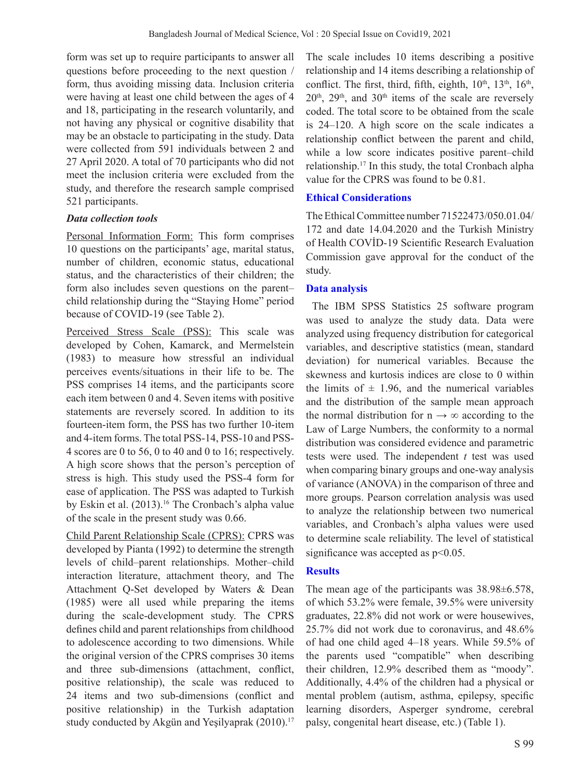form was set up to require participants to answer all questions before proceeding to the next question / form, thus avoiding missing data. Inclusion criteria were having at least one child between the ages of 4 and 18, participating in the research voluntarily, and not having any physical or cognitive disability that may be an obstacle to participating in the study. Data were collected from 591 individuals between 2 and 27 April 2020. A total of 70 participants who did not meet the inclusion criteria were excluded from the study, and therefore the research sample comprised 521 participants.

### *Data collection tools*

Personal Information Form: This form comprises 10 questions on the participants' age, marital status, number of children, economic status, educational status, and the characteristics of their children; the form also includes seven questions on the parent– child relationship during the "Staying Home" period because of COVID-19 (see Table 2).

Perceived Stress Scale (PSS): This scale was developed by Cohen, Kamarck, and Mermelstein (1983) to measure how stressful an individual perceives events/situations in their life to be. The PSS comprises 14 items, and the participants score each item between 0 and 4. Seven items with positive statements are reversely scored. In addition to its fourteen-item form, the PSS has two further 10-item and 4-item forms. The total PSS-14, PSS-10 and PSS-4 scores are 0 to 56, 0 to 40 and 0 to 16; respectively. A high score shows that the person's perception of stress is high. This study used the PSS-4 form for ease of application. The PSS was adapted to Turkish by Eskin et al. (2013).<sup>16</sup> The Cronbach's alpha value of the scale in the present study was 0.66.

Child Parent Relationship Scale (CPRS): CPRS was developed by Pianta (1992) to determine the strength levels of child–parent relationships. Mother–child interaction literature, attachment theory, and The Attachment Q-Set developed by Waters & Dean (1985) were all used while preparing the items during the scale-development study. The CPRS defines child and parent relationships from childhood to adolescence according to two dimensions. While the original version of the CPRS comprises 30 items and three sub-dimensions (attachment, conflict, positive relationship), the scale was reduced to 24 items and two sub-dimensions (conflict and positive relationship) in the Turkish adaptation study conducted by Akgün and Yeşilyaprak (2010).<sup>17</sup>

The scale includes 10 items describing a positive relationship and 14 items describing a relationship of conflict. The first, third, fifth, eighth,  $10^{th}$ ,  $13^{th}$ ,  $16^{th}$ ,  $20<sup>th</sup>$ ,  $29<sup>th</sup>$ , and  $30<sup>th</sup>$  items of the scale are reversely coded. The total score to be obtained from the scale is 24–120. A high score on the scale indicates a relationship conflict between the parent and child, while a low score indicates positive parent–child relationship.17 In this study, the total Cronbach alpha value for the CPRS was found to be 0.81.

## **Ethical Considerations**

The Ethical Committee number 71522473/050.01.04/ 172 and date 14.04.2020 and the Turkish Ministry of Health COVİD-19 Scientific Research Evaluation Commission gave approval for the conduct of the study.

### **Data analysis**

The IBM SPSS Statistics 25 software program was used to analyze the study data. Data were analyzed using frequency distribution for categorical variables, and descriptive statistics (mean, standard deviation) for numerical variables. Because the skewness and kurtosis indices are close to 0 within the limits of  $\pm$  1.96, and the numerical variables and the distribution of the sample mean approach the normal distribution for  $n \rightarrow \infty$  according to the Law of Large Numbers, the conformity to a normal distribution was considered evidence and parametric tests were used. The independent *t* test was used when comparing binary groups and one-way analysis of variance (ANOVA) in the comparison of three and more groups. Pearson correlation analysis was used to analyze the relationship between two numerical variables, and Cronbach's alpha values were used to determine scale reliability. The level of statistical significance was accepted as  $p<0.05$ .

## **Results**

The mean age of the participants was 38.98±6.578, of which 53.2% were female, 39.5% were university graduates, 22.8% did not work or were housewives, 25.7% did not work due to coronavirus, and 48.6% of had one child aged 4–18 years. While 59.5% of the parents used "compatible" when describing their children, 12.9% described them as "moody". Additionally, 4.4% of the children had a physical or mental problem (autism, asthma, epilepsy, specific learning disorders, Asperger syndrome, cerebral palsy, congenital heart disease, etc.) (Table 1).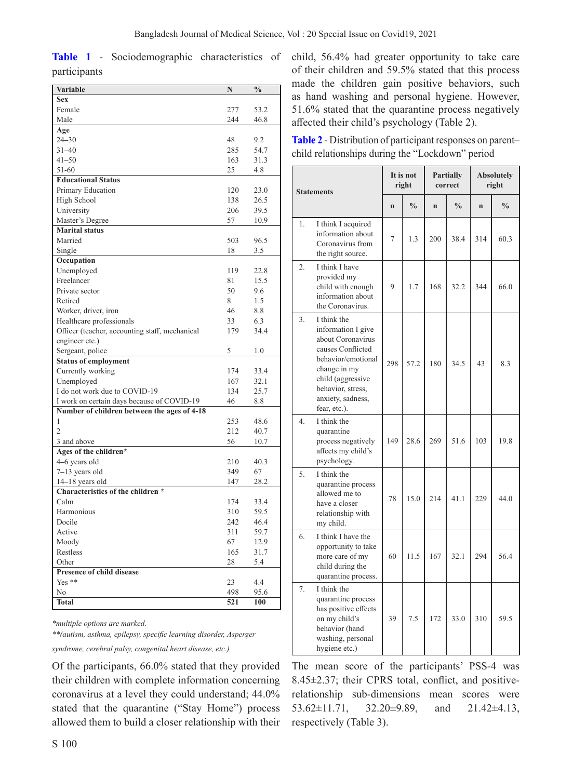**Table 1** - Sociodemographic characteristics of participants

| <b>Variable</b>                                | N   | $\frac{0}{0}$ |
|------------------------------------------------|-----|---------------|
| <b>Sex</b>                                     |     |               |
| Female                                         | 277 | 53.2          |
| Male                                           | 244 | 46.8          |
| Age                                            |     |               |
| $24 - 30$                                      | 48  | 9.2           |
| $31 - 40$                                      | 285 | 54.7          |
| $41 - 50$                                      | 163 | 31.3          |
| 51-60                                          | 25  | 4.8           |
| <b>Educational Status</b>                      |     |               |
| Primary Education                              | 120 | 23.0          |
| High School                                    | 138 | 26.5          |
| University                                     | 206 | 39.5          |
| Master's Degree                                | 57  | 10.9          |
| <b>Marital status</b>                          |     |               |
| Married                                        | 503 | 96.5          |
| Single                                         | 18  | 3.5           |
| Occupation                                     |     |               |
| Unemployed                                     | 119 | 22.8          |
| Freelancer                                     | 81  | 15.5          |
| Private sector                                 | 50  | 9.6           |
| Retired                                        | 8   | 1.5           |
| Worker, driver, iron                           | 46  | 8.8           |
| Healthcare professionals                       | 33  | 6.3           |
| Officer (teacher, accounting staff, mechanical | 179 | 34.4          |
| engineer etc.)                                 |     |               |
| Sergeant, police                               | 5   | 1.0           |
| <b>Status of employment</b>                    |     |               |
| Currently working                              | 174 | 33.4          |
| Unemployed                                     | 167 | 32.1          |
| I do not work due to COVID-19                  | 134 | 25.7          |
| I work on certain days because of COVID-19     | 46  | 8.8           |
| Number of children between the ages of 4-18    |     |               |
| 1                                              | 253 | 48.6          |
| $\overline{2}$                                 | 212 | 40.7          |
| 3 and above                                    | 56  | 10.7          |
| Ages of the children*                          |     |               |
| 4–6 years old                                  | 210 | 40.3          |
| 7-13 years old                                 | 349 | 67            |
| 14-18 years old                                | 147 | 28.2          |
| Characteristics of the children *              |     |               |
| Calm                                           | 174 | 33.4          |
| Harmonious                                     | 310 | 59.5          |
| Docile                                         | 242 | 46.4          |
| Active                                         | 311 | 59.7          |
| Moody                                          | 67  | 12.9          |
| Restless                                       | 165 | 31.7          |
| Other                                          | 28  | 5.4           |
| <b>Presence of child disease</b>               |     |               |
| Yes **                                         | 23  | 4.4           |
| N <sub>o</sub>                                 | 498 | 95.6          |
| <b>Total</b>                                   | 521 | 100           |
|                                                |     |               |

*\*multiple options are marked.*

*\*\*(autism, asthma, epilepsy, specific learning disorder, Asperger* 

*syndrome, cerebral palsy, congenital heart disease, etc.)*

Of the participants, 66.0% stated that they provided their children with complete information concerning coronavirus at a level they could understand; 44.0% stated that the quarantine ("Stay Home") process allowed them to build a closer relationship with their child, 56.4% had greater opportunity to take care of their children and 59.5% stated that this process made the children gain positive behaviors, such as hand washing and personal hygiene. However, 51.6% stated that the quarantine process negatively affected their child's psychology (Table 2).

**Table 2** - Distribution of participant responses on parent– child relationships during the "Lockdown" period

| <b>Statements</b> |                                                                                                                                                                                                  | It is not<br>right |               | <b>Partially</b><br>correct |               | <b>Absolutely</b><br>right |               |
|-------------------|--------------------------------------------------------------------------------------------------------------------------------------------------------------------------------------------------|--------------------|---------------|-----------------------------|---------------|----------------------------|---------------|
|                   |                                                                                                                                                                                                  | $\mathbf n$        | $\frac{0}{0}$ | $\mathbf{n}$                | $\frac{0}{0}$ | $\mathbf n$                | $\frac{0}{0}$ |
| 1.                | I think I acquired<br>information about<br>Coronavirus from<br>the right source.                                                                                                                 | 7                  | 1.3           | 200                         | 38.4          | 314                        | 60.3          |
| $\overline{2}$ .  | I think I have<br>provided my<br>child with enough<br>information about<br>the Coronavirus.                                                                                                      | 9                  | 1.7           | 168                         | 32.2          | 344                        | 66.0          |
| 3.                | I think the<br>information I give<br>about Coronavirus<br>causes Conflicted<br>behavior/emotional<br>change in my<br>child (aggressive<br>behavior, stress,<br>anxiety, sadness,<br>fear, etc.). | 298                | 57.2          | 180                         | 34.5          | 43                         | 8.3           |
| 4.                | I think the<br>quarantine<br>process negatively<br>affects my child's<br>psychology.                                                                                                             | 149                | 28.6          | 269                         | 51.6          | 103                        | 19.8          |
| 5.                | I think the<br>quarantine process<br>allowed me to<br>have a closer<br>relationship with<br>my child.                                                                                            | 78                 | 15.0          | 214                         | 41.1          | 229                        | 44.0          |
| 6.                | I think I have the<br>opportunity to take<br>more care of my<br>child during the<br>quarantine process.                                                                                          | 60                 | 11.5          | 167                         | 32.1          | 294                        | 56.4          |
| 7.                | I think the<br>quarantine process<br>has positive effects<br>on my child's<br>behavior (hand<br>washing, personal<br>hygiene etc.)                                                               | 39                 | 7.5           | 172                         | 33.0          | 310                        | 59.5          |

The mean score of the participants' PSS-4 was 8.45±2.37; their CPRS total, conflict, and positiverelationship sub-dimensions mean scores were 53.62±11.71, 32.20±9.89, and 21.42±4.13, respectively (Table 3).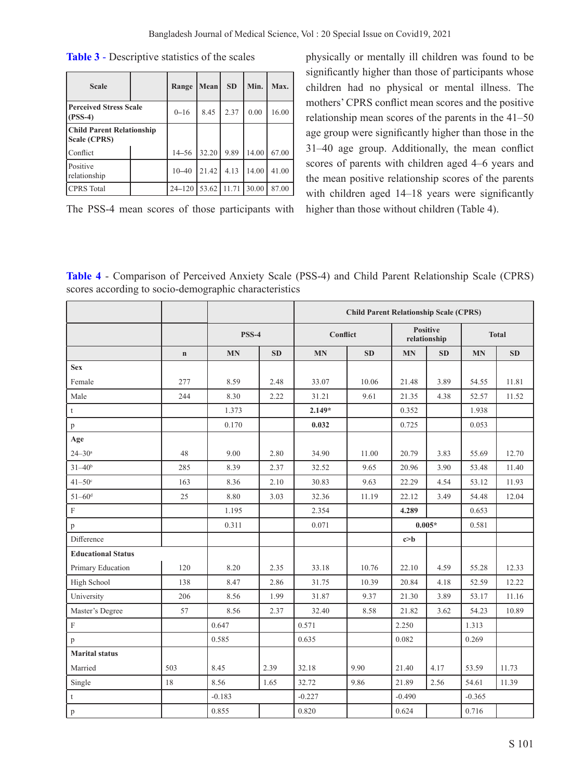| <b>Scale</b>                                     |  | Range      | Mean  | <b>SD</b> | Min.  | Max.  |
|--------------------------------------------------|--|------------|-------|-----------|-------|-------|
| <b>Perceived Stress Scale</b><br>$($ PSS-4 $)$   |  | $0 - 16$   | 8.45  | 2.37      | 0.00  | 16.00 |
| <b>Child Parent Relationship</b><br>Scale (CPRS) |  |            |       |           |       |       |
| lConflict                                        |  | $14 - 56$  | 32.20 | 9.89      | 14.00 | 67.00 |
| Positive<br>relationship                         |  | $10 - 40$  | 21.42 | 4.13      | 14.00 | 41.00 |
| <b>CPRS</b> Total                                |  | $24 - 120$ | 53.62 | 11.71     | 30.00 | 87.00 |

**Table 3** - Descriptive statistics of the scales

The PSS-4 mean scores of those participants with

physically or mentally ill children was found to be significantly higher than those of participants whose children had no physical or mental illness. The mothers' CPRS conflict mean scores and the positive relationship mean scores of the parents in the 41–50 age group were significantly higher than those in the 31–40 age group. Additionally, the mean conflict scores of parents with children aged 4–6 years and the mean positive relationship scores of the parents with children aged 14–18 years were significantly higher than those without children (Table 4).

| Table 4 - Comparison of Perceived Anxiety Scale (PSS-4) and Child Parent Relationship Scale (CPRS) |  |  |
|----------------------------------------------------------------------------------------------------|--|--|
| scores according to socio-demographic characteristics                                              |  |  |

|                           |             |              |      | <b>Child Parent Relationship Scale (CPRS)</b> |           |                          |           |              |       |
|---------------------------|-------------|--------------|------|-----------------------------------------------|-----------|--------------------------|-----------|--------------|-------|
|                           |             | <b>PSS-4</b> |      | Conflict                                      |           | Positive<br>relationship |           | <b>Total</b> |       |
|                           | $\mathbf n$ | <b>MN</b>    | SD   | <b>MN</b>                                     | <b>SD</b> | <b>MN</b>                | <b>SD</b> | <b>MN</b>    | SD    |
| <b>Sex</b>                |             |              |      |                                               |           |                          |           |              |       |
| Female                    | 277         | 8.59         | 2.48 | 33.07                                         | 10.06     | 21.48                    | 3.89      | 54.55        | 11.81 |
| Male                      | 244         | 8.30         | 2.22 | 31.21                                         | 9.61      | 21.35                    | 4.38      | 52.57        | 11.52 |
| t                         |             | 1.373        |      | $2.149*$                                      |           | 0.352                    |           | 1.938        |       |
| p                         |             | 0.170        |      | 0.032                                         |           | 0.725                    |           | 0.053        |       |
| Age                       |             |              |      |                                               |           |                          |           |              |       |
| $24 - 30^a$               | 48          | 9.00         | 2.80 | 34.90                                         | 11.00     | 20.79                    | 3.83      | 55.69        | 12.70 |
| $31 - 40^{b}$             | 285         | 8.39         | 2.37 | 32.52                                         | 9.65      | 20.96                    | 3.90      | 53.48        | 11.40 |
| $41 - 50$ °               | 163         | 8.36         | 2.10 | 30.83                                         | 9.63      | 22.29                    | 4.54      | 53.12        | 11.93 |
| $51 - 60$ <sup>d</sup>    | 25          | 8.80         | 3.03 | 32.36                                         | 11.19     | 22.12                    | 3.49      | 54.48        | 12.04 |
| $\mathbf F$               |             | 1.195        |      | 2.354                                         |           | 4.289                    |           | 0.653        |       |
| p                         |             | 0.311        |      | 0.071                                         |           |                          | $0.005*$  | 0.581        |       |
| Difference                |             |              |      |                                               |           | $c$ >b                   |           |              |       |
| <b>Educational Status</b> |             |              |      |                                               |           |                          |           |              |       |
| Primary Education         | 120         | 8.20         | 2.35 | 33.18                                         | 10.76     | 22.10                    | 4.59      | 55.28        | 12.33 |
| High School               | 138         | 8.47         | 2.86 | 31.75                                         | 10.39     | 20.84                    | 4.18      | 52.59        | 12.22 |
| University                | 206         | 8.56         | 1.99 | 31.87                                         | 9.37      | 21.30                    | 3.89      | 53.17        | 11.16 |
| Master's Degree           | 57          | 8.56         | 2.37 | 32.40                                         | 8.58      | 21.82                    | 3.62      | 54.23        | 10.89 |
| $\mathbf F$               |             | 0.647        |      | 0.571                                         |           | 2.250                    |           | 1.313        |       |
| p                         |             | 0.585        |      | 0.635                                         |           | 0.082                    |           | 0.269        |       |
| <b>Marital</b> status     |             |              |      |                                               |           |                          |           |              |       |
| Married                   | 503         | 8.45         | 2.39 | 32.18                                         | 9.90      | 21.40                    | 4.17      | 53.59        | 11.73 |
| Single                    | 18          | 8.56         | 1.65 | 32.72                                         | 9.86      | 21.89                    | 2.56      | 54.61        | 11.39 |
| $\mathfrak{t}$            |             | $-0.183$     |      | $-0.227$                                      |           | $-0.490$                 |           | $-0.365$     |       |
| $\, {\bf p}$              |             | 0.855        |      | 0.820                                         |           | 0.624                    |           | 0.716        |       |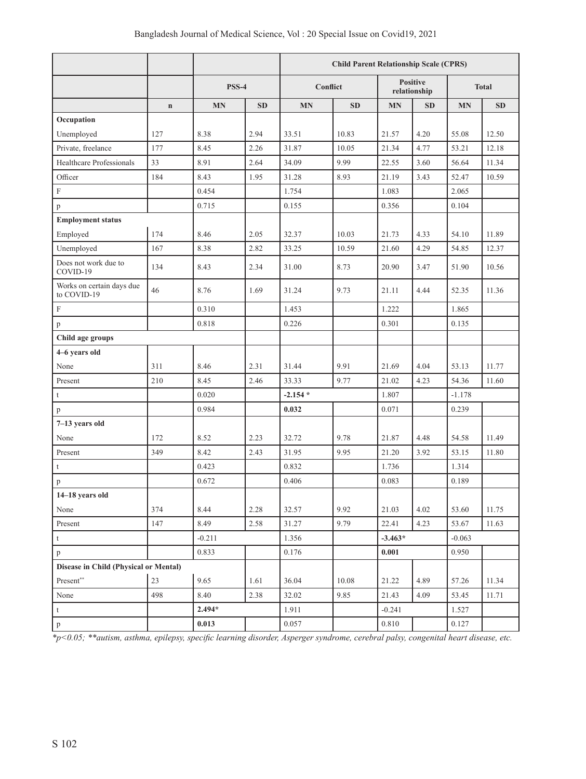|                                          |             |              |           | <b>Child Parent Relationship Scale (CPRS)</b> |           |                                 |           |           |              |
|------------------------------------------|-------------|--------------|-----------|-----------------------------------------------|-----------|---------------------------------|-----------|-----------|--------------|
|                                          |             | <b>PSS-4</b> |           | Conflict                                      |           | <b>Positive</b><br>relationship |           |           | <b>Total</b> |
|                                          | $\mathbf n$ | <b>MN</b>    | <b>SD</b> | <b>MN</b>                                     | <b>SD</b> | <b>MN</b>                       | <b>SD</b> | <b>MN</b> | SD           |
| Occupation                               |             |              |           |                                               |           |                                 |           |           |              |
| Unemployed                               | 127         | 8.38         | 2.94      | 33.51                                         | 10.83     | 21.57                           | 4.20      | 55.08     | 12.50        |
| Private, freelance                       | 177         | 8.45         | 2.26      | 31.87                                         | 10.05     | 21.34                           | 4.77      | 53.21     | 12.18        |
| Healthcare Professionals                 | 33          | 8.91         | 2.64      | 34.09                                         | 9.99      | 22.55                           | 3.60      | 56.64     | 11.34        |
| Officer                                  | 184         | 8.43         | 1.95      | 31.28                                         | 8.93      | 21.19                           | 3.43      | 52.47     | 10.59        |
| $\mathbf F$                              |             | 0.454        |           | 1.754                                         |           | 1.083                           |           | 2.065     |              |
| $\, {\bf p}$                             |             | 0.715        |           | 0.155                                         |           | 0.356                           |           | 0.104     |              |
| <b>Employment status</b>                 |             |              |           |                                               |           |                                 |           |           |              |
| Employed                                 | 174         | 8.46         | 2.05      | 32.37                                         | 10.03     | 21.73                           | 4.33      | 54.10     | 11.89        |
| Unemployed                               | 167         | 8.38         | 2.82      | 33.25                                         | 10.59     | 21.60                           | 4.29      | 54.85     | 12.37        |
| Does not work due to<br>COVID-19         | 134         | 8.43         | 2.34      | 31.00                                         | 8.73      | 20.90                           | 3.47      | 51.90     | 10.56        |
| Works on certain days due<br>to COVID-19 | 46          | 8.76         | 1.69      | 31.24                                         | 9.73      | 21.11                           | 4.44      | 52.35     | 11.36        |
| $\mathbf F$                              |             | 0.310        |           | 1.453                                         |           | 1.222                           |           | 1.865     |              |
| p                                        |             | 0.818        |           | 0.226                                         |           | 0.301                           |           | 0.135     |              |
| Child age groups                         |             |              |           |                                               |           |                                 |           |           |              |
| 4-6 years old                            |             |              |           |                                               |           |                                 |           |           |              |
| None                                     | 311         | 8.46         | 2.31      | 31.44                                         | 9.91      | 21.69                           | 4.04      | 53.13     | 11.77        |
| Present                                  | 210         | 8.45         | 2.46      | 33.33                                         | 9.77      | 21.02                           | 4.23      | 54.36     | 11.60        |
| $\mathsf t$                              |             | 0.020        |           | $-2.154*$                                     |           | 1.807                           |           | $-1.178$  |              |
| p                                        |             | 0.984        |           | 0.032                                         |           | 0.071                           |           | 0.239     |              |
| 7-13 years old                           |             |              |           |                                               |           |                                 |           |           |              |
| None                                     | 172         | 8.52         | 2.23      | 32.72                                         | 9.78      | 21.87                           | 4.48      | 54.58     | 11.49        |
| Present                                  | 349         | 8.42         | 2.43      | 31.95                                         | 9.95      | 21.20                           | 3.92      | 53.15     | 11.80        |
| $\mathsf t$                              |             | 0.423        |           | 0.832                                         |           | 1.736                           |           | 1.314     |              |
| p                                        |             | 0.672        |           | 0.406                                         |           | 0.083                           |           | 0.189     |              |
| 14-18 years old                          |             |              |           |                                               |           |                                 |           |           |              |
| None                                     | 374         | 8.44         | 2.28      | 32.57                                         | 9.92      | 21.03                           | 4.02      | 53.60     | 11.75        |
| Present                                  | 147         | 8.49         | 2.58      | 31.27                                         | 9.79      | 22.41                           | 4.23      | 53.67     | 11.63        |
| $\mathbf t$                              |             | $-0.211$     |           | 1.356                                         |           | $-3.463*$                       |           | $-0.063$  |              |
| p                                        |             | 0.833        |           | 0.176                                         |           | 0.001                           |           | 0.950     |              |
| Disease in Child (Physical or Mental)    |             |              |           |                                               |           |                                 |           |           |              |
| Present**                                | 23          | 9.65         | 1.61      | 36.04                                         | 10.08     | 21.22                           | 4.89      | 57.26     | 11.34        |
| None                                     | 498         | 8.40         | 2.38      | 32.02                                         | 9.85      | 21.43                           | 4.09      | 53.45     | 11.71        |
| $\mathsf t$                              |             | $2.494*$     |           | 1.911                                         |           | $-0.241$                        |           | 1.527     |              |
| $\, {\bf p}$                             |             | 0.013        |           | 0.057                                         |           | $0.810\,$                       |           | 0.127     |              |

*\*p<0.05; \*\*autism, asthma, epilepsy, specific learning disorder, Asperger syndrome, cerebral palsy, congenital heart disease, etc.*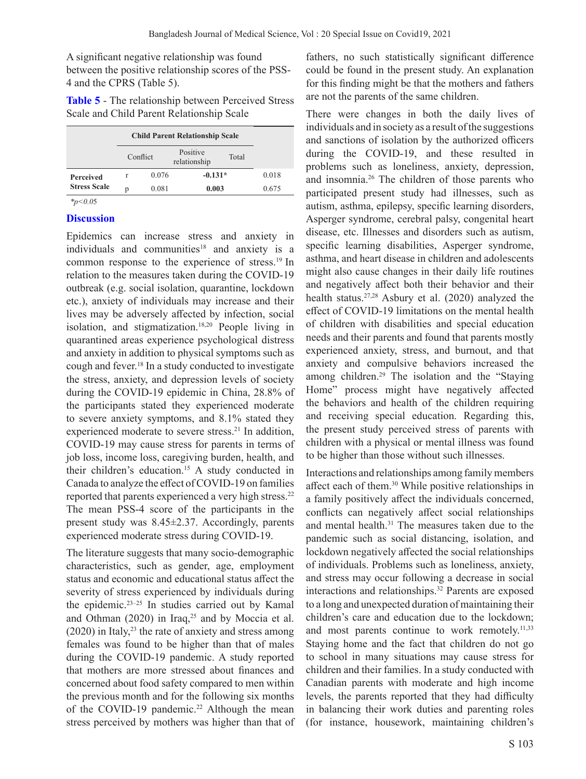A significant negative relationship was found between the positive relationship scores of the PSS-4 and the CPRS (Table 5).

| Table 5 - The relationship between Perceived Stress |  |
|-----------------------------------------------------|--|
| Scale and Child Parent Relationship Scale           |  |

|                             | <b>Child Parent Relationship Scale</b> |          |                          |       |       |
|-----------------------------|----------------------------------------|----------|--------------------------|-------|-------|
|                             |                                        | Conflict | Positive<br>relationship | Total |       |
| <b>Perceived</b>            | r                                      | 0.076    | $-0.131*$                |       | 0.018 |
| <b>Stress Scale</b>         | p                                      | 0.081    | 0.003                    |       | 0.675 |
| $\sim$ $\sim$ $\sim$ $\sim$ |                                        |          |                          |       |       |

*\*p<0.0*5

### **Discussion**

Epidemics can increase stress and anxiety in individuals and communities<sup>18</sup> and anxiety is a common response to the experience of stress.19 In relation to the measures taken during the COVID-19 outbreak (e.g. social isolation, quarantine, lockdown etc.), anxiety of individuals may increase and their lives may be adversely affected by infection, social isolation, and stigmatization.<sup>18,20</sup> People living in quarantined areas experience psychological distress and anxiety in addition to physical symptoms such as cough and fever.18 In a study conducted to investigate the stress, anxiety, and depression levels of society during the COVID-19 epidemic in China, 28.8% of the participants stated they experienced moderate to severe anxiety symptoms, and 8.1% stated they experienced moderate to severe stress.<sup>21</sup> In addition, COVID-19 may cause stress for parents in terms of job loss, income loss, caregiving burden, health, and their children's education.<sup>15</sup> A study conducted in Canada to analyze the effect of COVID-19 on families reported that parents experienced a very high stress.<sup>22</sup> The mean PSS-4 score of the participants in the present study was 8.45±2.37. Accordingly, parents experienced moderate stress during COVID-19.

The literature suggests that many socio-demographic characteristics, such as gender, age, employment status and economic and educational status affect the severity of stress experienced by individuals during the epidemic.23–25 In studies carried out by Kamal and Othman  $(2020)$  in Iraq,<sup>25</sup> and by Moccia et al.  $(2020)$  in Italy,<sup>23</sup> the rate of anxiety and stress among females was found to be higher than that of males during the COVID-19 pandemic. A study reported that mothers are more stressed about finances and concerned about food safety compared to men within the previous month and for the following six months of the COVID-19 pandemic.<sup>22</sup> Although the mean stress perceived by mothers was higher than that of

fathers, no such statistically significant difference could be found in the present study. An explanation for this finding might be that the mothers and fathers are not the parents of the same children.

There were changes in both the daily lives of individuals and in society as a result of the suggestions and sanctions of isolation by the authorized officers during the COVID-19, and these resulted in problems such as loneliness, anxiety, depression, and insomnia.26 The children of those parents who participated present study had illnesses, such as autism, asthma, epilepsy, specific learning disorders, Asperger syndrome, cerebral palsy, congenital heart disease, etc. Illnesses and disorders such as autism, specific learning disabilities, Asperger syndrome, asthma, and heart disease in children and adolescents might also cause changes in their daily life routines and negatively affect both their behavior and their health status.27,28 Asbury et al. (2020) analyzed the effect of COVID-19 limitations on the mental health of children with disabilities and special education needs and their parents and found that parents mostly experienced anxiety, stress, and burnout, and that anxiety and compulsive behaviors increased the among children.29 The isolation and the "Staying Home" process might have negatively affected the behaviors and health of the children requiring and receiving special education. Regarding this, the present study perceived stress of parents with children with a physical or mental illness was found to be higher than those without such illnesses.

Interactions and relationships among family members affect each of them.30 While positive relationships in a family positively affect the individuals concerned, conflicts can negatively affect social relationships and mental health.<sup>31</sup> The measures taken due to the pandemic such as social distancing, isolation, and lockdown negatively affected the social relationships of individuals. Problems such as loneliness, anxiety, and stress may occur following a decrease in social interactions and relationships.<sup>32</sup> Parents are exposed to a long and unexpected duration of maintaining their children's care and education due to the lockdown; and most parents continue to work remotely. $11,33$ Staying home and the fact that children do not go to school in many situations may cause stress for children and their families. In a study conducted with Canadian parents with moderate and high income levels, the parents reported that they had difficulty in balancing their work duties and parenting roles (for instance, housework, maintaining children's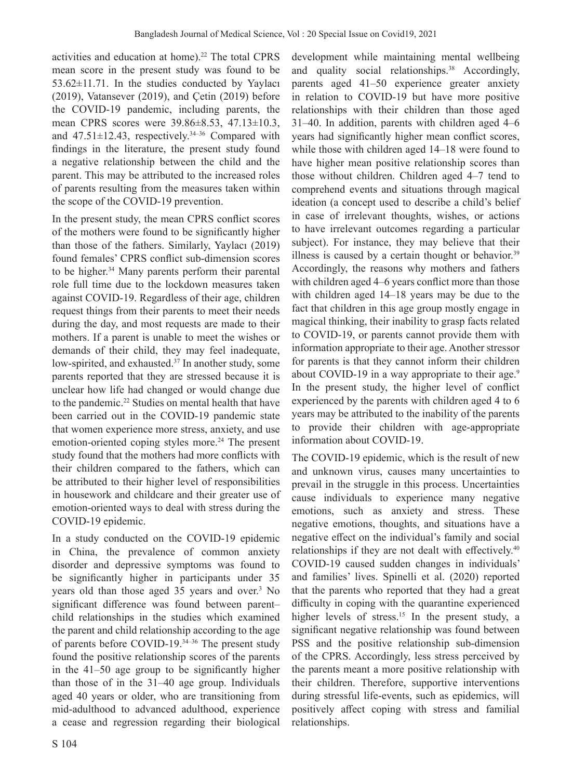activities and education at home).<sup>22</sup> The total CPRS mean score in the present study was found to be 53.62±11.71. In the studies conducted by Yaylacı (2019), Vatansever (2019), and Çetin (2019) before the COVID-19 pandemic, including parents, the mean CPRS scores were 39.86±8.53, 47.13±10.3, and  $47.51 \pm 12.43$ , respectively.<sup>34-36</sup> Compared with findings in the literature, the present study found a negative relationship between the child and the parent. This may be attributed to the increased roles of parents resulting from the measures taken within the scope of the COVID-19 prevention.

In the present study, the mean CPRS conflict scores of the mothers were found to be significantly higher than those of the fathers. Similarly, Yaylacı (2019) found females' CPRS conflict sub-dimension scores to be higher.<sup>34</sup> Many parents perform their parental role full time due to the lockdown measures taken against COVID-19. Regardless of their age, children request things from their parents to meet their needs during the day, and most requests are made to their mothers. If a parent is unable to meet the wishes or demands of their child, they may feel inadequate, low-spirited, and exhausted.<sup>37</sup> In another study, some parents reported that they are stressed because it is unclear how life had changed or would change due to the pandemic.<sup>22</sup> Studies on mental health that have been carried out in the COVID-19 pandemic state that women experience more stress, anxiety, and use emotion-oriented coping styles more.<sup>24</sup> The present study found that the mothers had more conflicts with their children compared to the fathers, which can be attributed to their higher level of responsibilities in housework and childcare and their greater use of emotion-oriented ways to deal with stress during the COVID-19 epidemic.

In a study conducted on the COVID-19 epidemic in China, the prevalence of common anxiety disorder and depressive symptoms was found to be significantly higher in participants under 35 years old than those aged 35 years and over.<sup>3</sup> No significant difference was found between parent– child relationships in the studies which examined the parent and child relationship according to the age of parents before COVID-19.34–36 The present study found the positive relationship scores of the parents in the 41–50 age group to be significantly higher than those of in the 31–40 age group. Individuals aged 40 years or older, who are transitioning from mid-adulthood to advanced adulthood, experience a cease and regression regarding their biological

development while maintaining mental wellbeing and quality social relationships.<sup>38</sup> Accordingly, parents aged 41–50 experience greater anxiety in relation to COVID-19 but have more positive relationships with their children than those aged 31–40. In addition, parents with children aged 4–6 years had significantly higher mean conflict scores, while those with children aged 14–18 were found to have higher mean positive relationship scores than those without children. Children aged 4–7 tend to comprehend events and situations through magical ideation (a concept used to describe a child's belief in case of irrelevant thoughts, wishes, or actions to have irrelevant outcomes regarding a particular subject). For instance, they may believe that their illness is caused by a certain thought or behavior. $39$ Accordingly, the reasons why mothers and fathers with children aged 4–6 years conflict more than those with children aged 14–18 years may be due to the fact that children in this age group mostly engage in magical thinking, their inability to grasp facts related to COVID-19, or parents cannot provide them with information appropriate to their age. Another stressor for parents is that they cannot inform their children about COVID-19 in a way appropriate to their age.<sup>9</sup> In the present study, the higher level of conflict experienced by the parents with children aged 4 to 6 years may be attributed to the inability of the parents to provide their children with age-appropriate information about COVID-19.

The COVID-19 epidemic, which is the result of new and unknown virus, causes many uncertainties to prevail in the struggle in this process. Uncertainties cause individuals to experience many negative emotions, such as anxiety and stress. These negative emotions, thoughts, and situations have a negative effect on the individual's family and social relationships if they are not dealt with effectively.<sup>40</sup> COVID-19 caused sudden changes in individuals' and families' lives. Spinelli et al. (2020) reported that the parents who reported that they had a great difficulty in coping with the quarantine experienced higher levels of stress.<sup>15</sup> In the present study, a significant negative relationship was found between PSS and the positive relationship sub-dimension of the CPRS. Accordingly, less stress perceived by the parents meant a more positive relationship with their children. Therefore, supportive interventions during stressful life-events, such as epidemics, will positively affect coping with stress and familial relationships.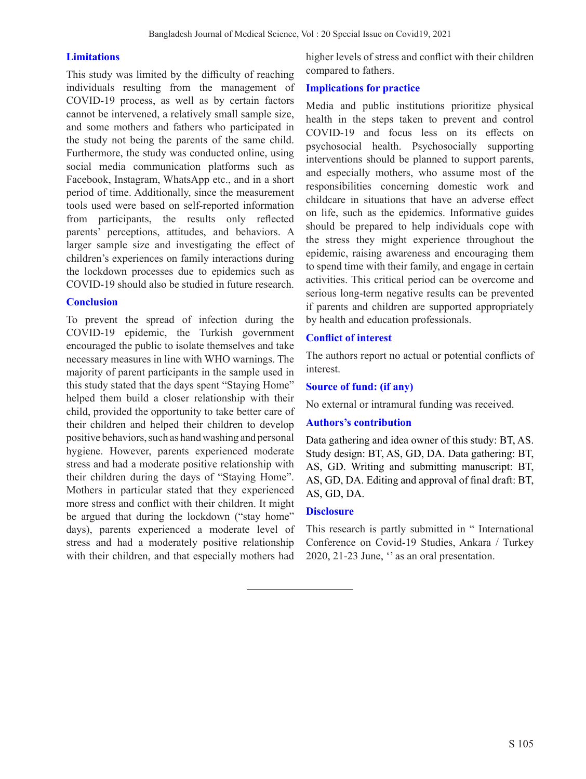### **Limitations**

This study was limited by the difficulty of reaching individuals resulting from the management of COVID-19 process, as well as by certain factors cannot be intervened, a relatively small sample size, and some mothers and fathers who participated in the study not being the parents of the same child. Furthermore, the study was conducted online, using social media communication platforms such as Facebook, Instagram, WhatsApp etc., and in a short period of time. Additionally, since the measurement tools used were based on self-reported information from participants, the results only reflected parents' perceptions, attitudes, and behaviors. A larger sample size and investigating the effect of children's experiences on family interactions during the lockdown processes due to epidemics such as COVID-19 should also be studied in future research.

#### **Conclusion**

To prevent the spread of infection during the COVID-19 epidemic, the Turkish government encouraged the public to isolate themselves and take necessary measures in line with WHO warnings. The majority of parent participants in the sample used in this study stated that the days spent "Staying Home" helped them build a closer relationship with their child, provided the opportunity to take better care of their children and helped their children to develop positive behaviors, such as hand washing and personal hygiene. However, parents experienced moderate stress and had a moderate positive relationship with their children during the days of "Staying Home". Mothers in particular stated that they experienced more stress and conflict with their children. It might be argued that during the lockdown ("stay home" days), parents experienced a moderate level of stress and had a moderately positive relationship with their children, and that especially mothers had

higher levels of stress and conflict with their children compared to fathers.

### **Implications for practice**

Media and public institutions prioritize physical health in the steps taken to prevent and control COVID-19 and focus less on its effects on psychosocial health. Psychosocially supporting interventions should be planned to support parents, and especially mothers, who assume most of the responsibilities concerning domestic work and childcare in situations that have an adverse effect on life, such as the epidemics. Informative guides should be prepared to help individuals cope with the stress they might experience throughout the epidemic, raising awareness and encouraging them to spend time with their family, and engage in certain activities. This critical period can be overcome and serious long-term negative results can be prevented if parents and children are supported appropriately by health and education professionals.

### **Conflict of interest**

The authors report no actual or potential conflicts of interest.

#### **Source of fund: (if any)**

No external or intramural funding was received.

#### **Authors's contribution**

Data gathering and idea owner of this study: BT, AS. Study design: BT, AS, GD, DA. Data gathering: BT, AS, GD. Writing and submitting manuscript: BT, AS, GD, DA. Editing and approval of final draft: BT, AS, GD, DA.

#### **Disclosure**

This research is partly submitted in " International Conference on Covid-19 Studies, Ankara / Turkey 2020, 21-23 June, '' as an oral presentation.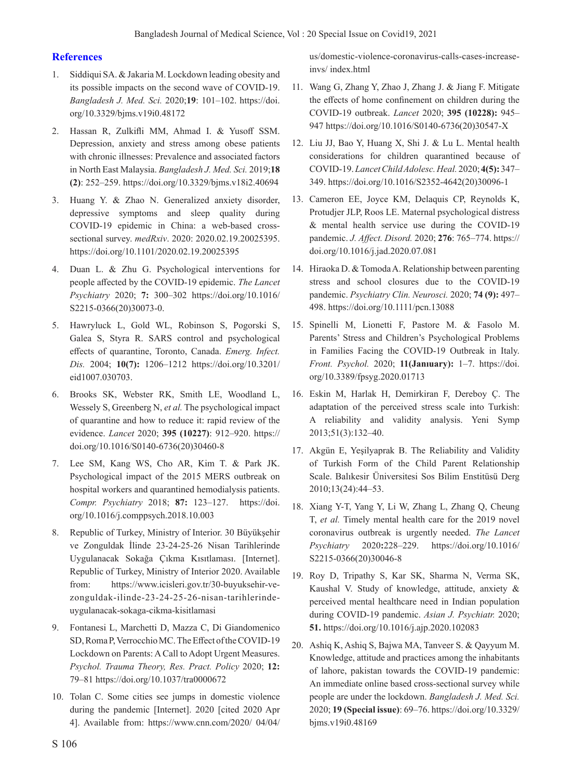## **References**

- 1. Siddiqui SA. & Jakaria M. Lockdown leading obesity and its possible impacts on the second wave of COVID-19. *Bangladesh J. Med. Sci.* 2020;**19**: 101–102. https://doi. org/10.3329/bjms.v19i0.48172
- 2. Hassan R, Zulkifli MM, Ahmad I. & Yusoff SSM. Depression, anxiety and stress among obese patients with chronic illnesses: Prevalence and associated factors in North East Malaysia. *Bangladesh J. Med. Sci.* 2019;**18 (2)**: 252–259. https://doi.org/10.3329/bjms.v18i2.40694
- 3. Huang Y. & Zhao N. Generalized anxiety disorder, depressive symptoms and sleep quality during COVID-19 epidemic in China: a web-based crosssectional survey. *medRxiv*. 2020: 2020.02.19.20025395. https://doi.org/10.1101/2020.02.19.20025395
- 4. Duan L. & Zhu G. Psychological interventions for people affected by the COVID-19 epidemic. *The Lancet Psychiatry* 2020; **7:** 300–302 https://doi.org/10.1016/ S2215-0366(20)30073-0.
- 5. Hawryluck L, Gold WL, Robinson S, Pogorski S, Galea S, Styra R. SARS control and psychological effects of quarantine, Toronto, Canada. *Emerg. Infect. Dis.* 2004; **10(7):** 1206–1212 https://doi.org/10.3201/ eid1007.030703.
- 6. Brooks SK, Webster RK, Smith LE, Woodland L, Wessely S, Greenberg N, *et al.* The psychological impact of quarantine and how to reduce it: rapid review of the evidence. *Lancet* 2020; **395 (10227)**: 912–920. https:// doi.org/10.1016/S0140-6736(20)30460-8
- 7. Lee SM, Kang WS, Cho AR, Kim T. & Park JK. Psychological impact of the 2015 MERS outbreak on hospital workers and quarantined hemodialysis patients. *Compr. Psychiatry* 2018; **87:** 123–127. https://doi. org/10.1016/j.comppsych.2018.10.003
- 8. Republic of Turkey, Ministry of Interior. 30 Büyükşehir ve Zonguldak İlinde 23-24-25-26 Nisan Tarihlerinde Uygulanacak Sokağa Çıkma Kısıtlaması. [Internet]. Republic of Turkey, Ministry of Interior 2020. Available from: https://www.icisleri.gov.tr/30-buyuksehir-vezonguldak-ilinde-23-24-25-26-nisan-tarihlerindeuygulanacak-sokaga-cikma-kisitlamasi
- 9. Fontanesi L, Marchetti D, Mazza C, Di Giandomenico SD, Roma P, Verrocchio MC. The Effect of the COVID-19 Lockdown on Parents: A Call to Adopt Urgent Measures. *Psychol. Trauma Theory, Res. Pract. Policy* 2020; **12:** 79–81 https://doi.org/10.1037/tra0000672
- 10. Tolan C. Some cities see jumps in domestic violence during the pandemic [Internet]. 2020 [cited 2020 Apr 4]. Available from: https://www.cnn.com/2020/ 04/04/

us/domestic-violence-coronavirus-calls-cases-increaseinvs/ index.html

- 11. Wang G, Zhang Y, Zhao J, Zhang J. & Jiang F. Mitigate the effects of home confinement on children during the COVID-19 outbreak. *Lancet* 2020; **395 (10228):** 945– 947 https://doi.org/10.1016/S0140-6736(20)30547-X
- 12. Liu JJ, Bao Y, Huang X, Shi J. & Lu L. Mental health considerations for children quarantined because of COVID-19. *Lancet Child Adolesc. Heal.* 2020; **4(5):** 347– 349. https://doi.org/10.1016/S2352-4642(20)30096-1
- 13. Cameron EE, Joyce KM, Delaquis CP, Reynolds K, Protudjer JLP, Roos LE. Maternal psychological distress & mental health service use during the COVID-19 pandemic. *J. Affect. Disord.* 2020; **276**: 765–774. https:// doi.org/10.1016/j.jad.2020.07.081
- 14. Hiraoka D. & Tomoda A. Relationship between parenting stress and school closures due to the COVID-19 pandemic. *Psychiatry Clin. Neurosci.* 2020; **74 (9):** 497– 498. https://doi.org/10.1111/pcn.13088
- 15. Spinelli M, Lionetti F, Pastore M. & Fasolo M. Parents' Stress and Children's Psychological Problems in Families Facing the COVID-19 Outbreak in Italy. *Front. Psychol.* 2020; **11(Janıuary):** 1–7. https://doi. org/10.3389/fpsyg.2020.01713
- 16. Eskin M, Harlak H, Demirkiran F, Dereboy Ç. The adaptation of the perceived stress scale into Turkish: A reliability and validity analysis. Yeni Symp 2013;51(3):132–40.
- 17. Akgün E, Yeşilyaprak B. The Reliability and Validity of Turkish Form of the Child Parent Relationship Scale. Balıkesir Üniversitesi Sos Bilim Enstitüsü Derg 2010;13(24):44–53.
- 18. Xiang Y-T, Yang Y, Li W, Zhang L, Zhang Q, Cheung T, *et al.* Timely mental health care for the 2019 novel coronavirus outbreak is urgently needed. *The Lancet Psychiatry* 2020**:**228–229. https://doi.org/10.1016/ S2215-0366(20)30046-8
- 19. Roy D, Tripathy S, Kar SK, Sharma N, Verma SK, Kaushal V. Study of knowledge, attitude, anxiety & perceived mental healthcare need in Indian population during COVID-19 pandemic. *Asian J. Psychiatr.* 2020; **51.** https://doi.org/10.1016/j.ajp.2020.102083
- 20. Ashiq K, Ashiq S, Bajwa MA, Tanveer S. & Qayyum M. Knowledge, attitude and practices among the inhabitants of lahore, pakistan towards the COVID-19 pandemic: An immediate online based cross-sectional survey while people are under the lockdown. *Bangladesh J. Med. Sci.* 2020; **19 (Special issue)**: 69–76. https://doi.org/10.3329/ bjms.v19i0.48169